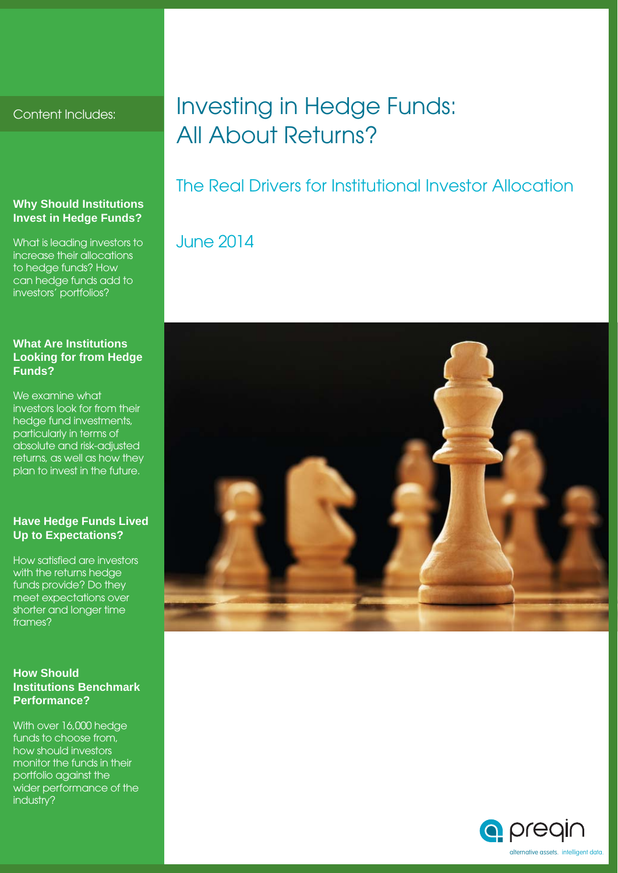Content Includes:

#### **Why Should Institutions Invest in Hedge Funds?**

What is leading investors to increase their allocations to hedge funds? How can hedge funds add to investors' portfolios?

#### **What Are Institutions Looking for from Hedge Funds?**

We examine what investors look for from their hedge fund investments, particularly in terms of absolute and risk-adjusted returns, as well as how they plan to invest in the future.

#### **Have Hedge Funds Lived Up to Expectations?**

How satisfied are investors with the returns hedge funds provide? Do they meet expectations over shorter and longer time frames?

#### **How Should Institutions Benchmark Performance?**

With over 16,000 hedge funds to choose from, how should investors monitor the funds in their portfolio against the wider performance of the industry?

### Investing in Hedge Funds: All About Returns?

### The Real Drivers for Institutional Investor Allocation

### June 2014



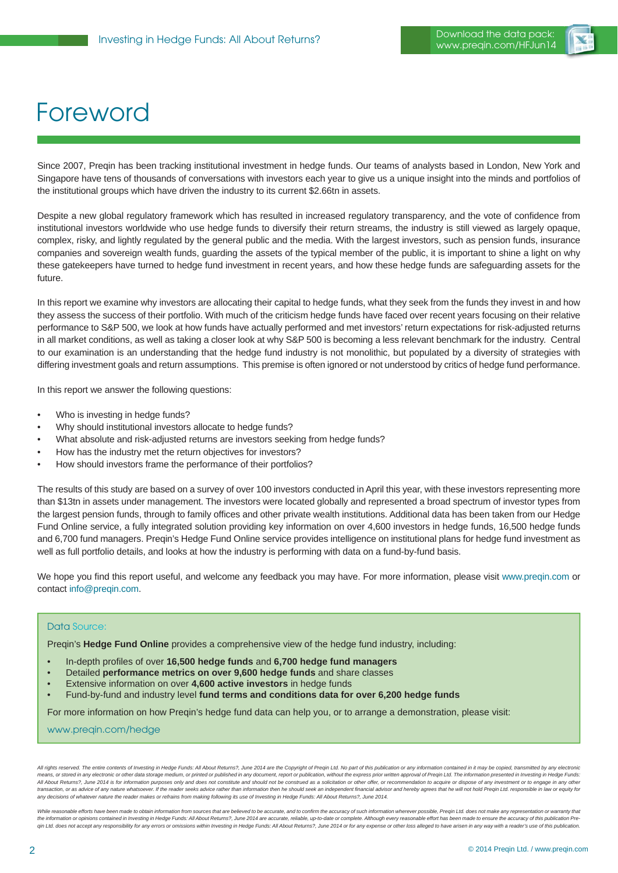

## Foreword

Since 2007, Preqin has been tracking institutional investment in hedge funds. Our teams of analysts based in London, New York and Singapore have tens of thousands of conversations with investors each year to give us a unique insight into the minds and portfolios of the institutional groups which have driven the industry to its current \$2.66tn in assets.

Despite a new global regulatory framework which has resulted in increased regulatory transparency, and the vote of confidence from institutional investors worldwide who use hedge funds to diversify their return streams, the industry is still viewed as largely opaque, complex, risky, and lightly regulated by the general public and the media. With the largest investors, such as pension funds, insurance companies and sovereign wealth funds, guarding the assets of the typical member of the public, it is important to shine a light on why these gatekeepers have turned to hedge fund investment in recent years, and how these hedge funds are safeguarding assets for the future.

In this report we examine why investors are allocating their capital to hedge funds, what they seek from the funds they invest in and how they assess the success of their portfolio. With much of the criticism hedge funds have faced over recent years focusing on their relative performance to S&P 500, we look at how funds have actually performed and met investors' return expectations for risk-adjusted returns in all market conditions, as well as taking a closer look at why S&P 500 is becoming a less relevant benchmark for the industry. Central to our examination is an understanding that the hedge fund industry is not monolithic, but populated by a diversity of strategies with differing investment goals and return assumptions. This premise is often ignored or not understood by critics of hedge fund performance.

In this report we answer the following questions:

- Who is investing in hedge funds?
- Why should institutional investors allocate to hedge funds?
- What absolute and risk-adjusted returns are investors seeking from hedge funds?
- How has the industry met the return objectives for investors?
- How should investors frame the performance of their portfolios?

The results of this study are based on a survey of over 100 investors conducted in April this year, with these investors representing more than \$13tn in assets under management. The investors were located globally and represented a broad spectrum of investor types from the largest pension funds, through to family offices and other private wealth institutions. Additional data has been taken from our Hedge Fund Online service, a fully integrated solution providing key information on over 4,600 investors in hedge funds, 16,500 hedge funds and 6,700 fund managers. Preqin's Hedge Fund Online service provides intelligence on institutional plans for hedge fund investment as well as full portfolio details, and looks at how the industry is performing with data on a fund-by-fund basis.

We hope you find this report useful, and welcome any feedback you may have. For more information, please visit www.preqin.com or contact info@preqin.com.

#### Data Source:

Preqin's **Hedge Fund Online** provides a comprehensive view of the hedge fund industry, including:

- In-depth profi les of over **16,500 hedge funds** and **6,700 hedge fund managers**
- Detailed **performance metrics on over 9,600 hedge funds** and share classes
- Extensive information on over **4,600 active investors** in hedge funds
- Fund-by-fund and industry level **fund terms and conditions data for over 6,200 hedge funds**

For more information on how Preqin's hedge fund data can help you, or to arrange a demonstration, please visit:

www.preqin.com/hedge

All rights reserved. The entire contents of Investing in Hedge Funds: All About Returns?, June 2014 are the Copyright of Preqin Ltd. No part of this publication or any information contained in it may be copied, transmitted means, or stored in any electronic or other data storage medium, or printed or published in any document, report or publication, without the express prior written approval of Pregin Ltd. The information presented in Invest All About Returns?, June 2014 is for information purposes only and does not constitute and should not be construed as a solicitation or other offer, or recommendation to acquire or dispose of any investment or to engage in transaction, or as advice of any nature whatsoever. If the reader seeks advice rather than information then he should seek an independent financial advisor and hereby agrees that he will not hold Pregin Ltd. responsible in *any decisions of whatever nature the reader makes or refrains from making following its use of Investing in Hedge Funds: All About Returns?, June 2014.*

While reasonable efforts have been made to obtain information from sources that are believed to be accurate, and to confirm the accuracy of such information wherever possible, Preqin Ltd. does not make any representation o the information or opinions contained in Investing in Hedge Funds: All About Returns?, June 2014 are accurate, reliable, up-to-date or complete. Although every reasonable effort has been made to ensure the accuracy of this gin Ltd. does not accept any responsibility for any errors or omissions within Investing in Hedge Funds: All About Returns?, June 2014 or for any expense or other loss alleged to have arisen in any way with a reader's use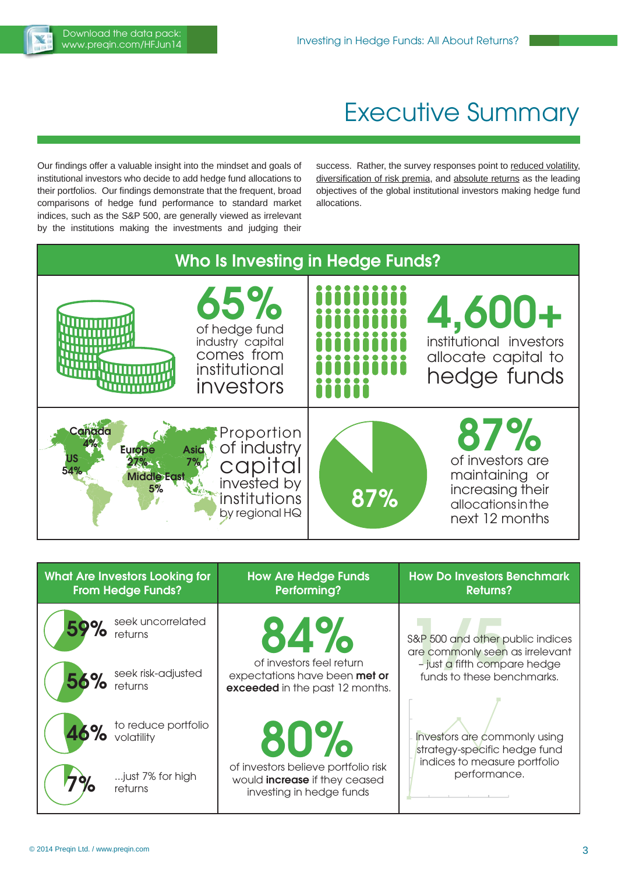

### Executive Summary

Our findings offer a valuable insight into the mindset and goals of institutional investors who decide to add hedge fund allocations to their portfolios. Our findings demonstrate that the frequent, broad comparisons of hedge fund performance to standard market indices, such as the S&P 500, are generally viewed as irrelevant by the institutions making the investments and judging their

success. Rather, the survey responses point to reduced volatility, diversification of risk premia, and absolute returns as the leading objectives of the global institutional investors making hedge fund allocations.



| What Are Investors Looking for<br><b>From Hedge Funds?</b> | <b>How Are Hedge Funds</b><br>Performing?                                                               | <b>How Do Investors Benchmark</b><br><b>Returns?</b>                |
|------------------------------------------------------------|---------------------------------------------------------------------------------------------------------|---------------------------------------------------------------------|
| 59% seek uncorrelated                                      | 84%                                                                                                     | S&P 500 and other public indices<br>are commonly seen as irrelevant |
| 56% seek risk-adjusted                                     | of investors feel return<br>expectations have been met or<br>exceeded in the past 12 months.            | - just a fifth compare hedge<br>funds to these benchmarks.          |
| 46% to reduce portfolio                                    | $80\%$                                                                                                  | Investors are commonly using<br>strategy-specific hedge fund        |
| just 7% for high<br>returns                                | of investors believe portfolio risk<br>would <b>increase</b> if they ceased<br>investing in hedge funds | indices to measure portfolio<br>performance.                        |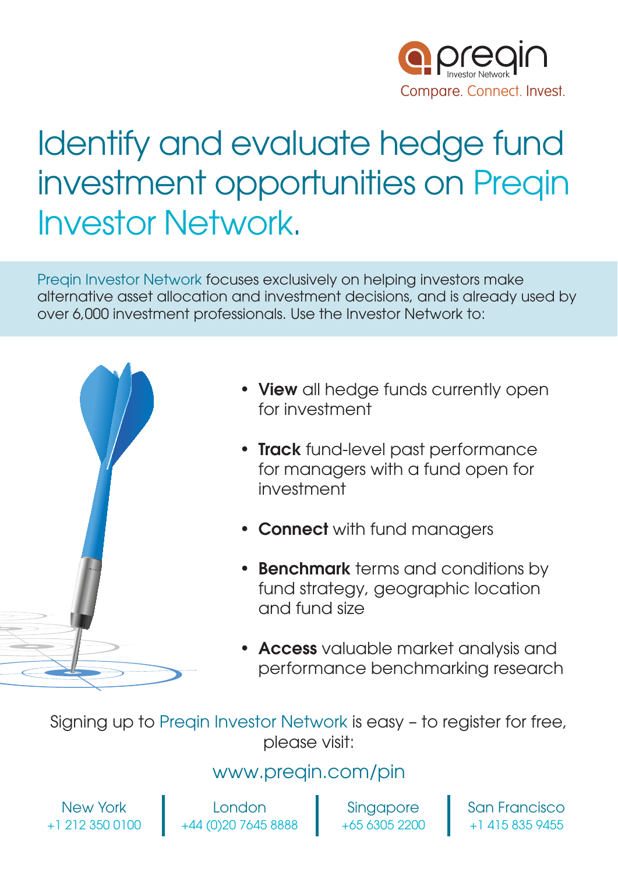

# Identify and evaluate hedge fund investment opportunities on Preqin Investor Network.

Preqin Investor Network focuses exclusively on helping investors make alternative asset allocation and investment decisions, and is already used by over 6,000 investment professionals. Use the Investor Network to:



- **View** all hedge funds currently open for investment
- **Track** fund-level past performance for managers with a fund open for investment
- **Connect** with fund managers
- **Benchmark** terms and conditions by fund strategy, geographic location and fund size
- **Access** valuable market analysis and performance benchmarking research

Signing up to Preqin Investor Network is easy – to register for free, please visit:

### www.preqin.com/pin

New York +1 212 350 0100

London +44 (0)20 7645 8888

**Singapore** +65 6305 2200 San Francisco +1 415 835 9455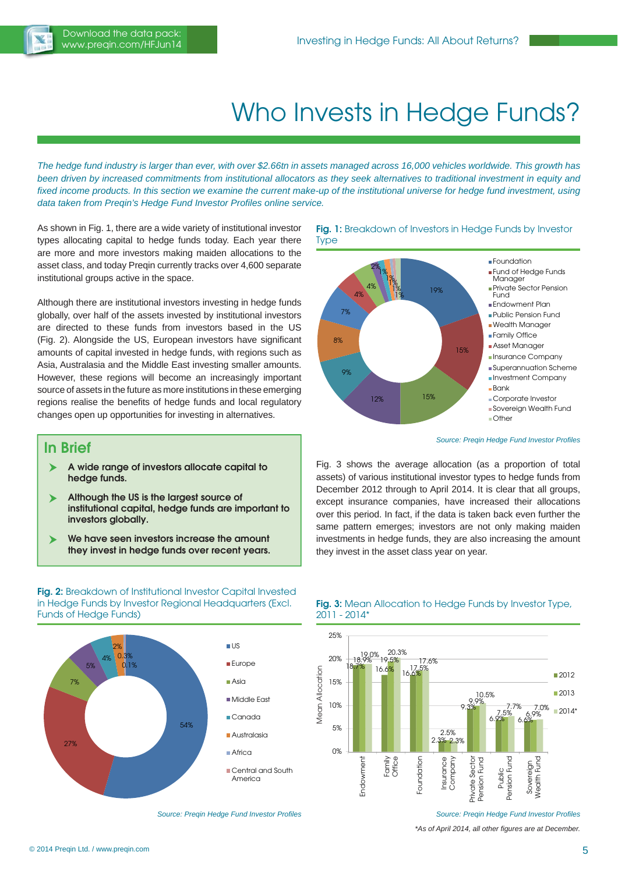

## Who Invests in Hedge Funds?

*The hedge fund industry is larger than ever, with over \$2.66tn in assets managed across 16,000 vehicles worldwide. This growth has been driven by increased commitments from institutional allocators as they seek alternatives to traditional investment in equity and fixed income products. In this section we examine the current make-up of the institutional universe for hedge fund investment, using* **data taken from Preqin's Hedge Fund Investor Profiles online service.** 

As shown in Fig. 1, there are a wide variety of institutional investor types allocating capital to hedge funds today. Each year there are more and more investors making maiden allocations to the asset class, and today Preqin currently tracks over 4,600 separate institutional groups active in the space.

Although there are institutional investors investing in hedge funds globally, over half of the assets invested by institutional investors are directed to these funds from investors based in the US (Fig. 2). Alongside the US, European investors have significant amounts of capital invested in hedge funds, with regions such as Asia, Australasia and the Middle East investing smaller amounts. However, these regions will become an increasingly important source of assets in the future as more institutions in these emerging regions realise the benefits of hedge funds and local regulatory changes open up opportunities for investing in alternatives.

#### **In Brief**

- **A wide range of investors allocate capital to hedge funds.**
- **Although the US is the largest source of institutional capital, hedge funds are important to investors globally.**
- **We have seen investors increase the amount they invest in hedge funds over recent years.**

**Fig. 2:** Breakdown of Institutional Investor Capital Invested in Hedge Funds by Investor Regional Headquarters (Excl. Funds of Hedge Funds)



*Source: Pregin Hedge Fund Investor Profiles* 





**Source: Preqin Hedge Fund Investor Profiles** 

Fig. 3 shows the average allocation (as a proportion of total assets) of various institutional investor types to hedge funds from December 2012 through to April 2014. It is clear that all groups, except insurance companies, have increased their allocations over this period. In fact, if the data is taken back even further the same pattern emerges; investors are not only making maiden investments in hedge funds, they are also increasing the amount they invest in the asset class year on year.





#### *Source: Pregin Hedge Fund Investor Profiles*

*\*As of April 2014, all other fi gures are at December.*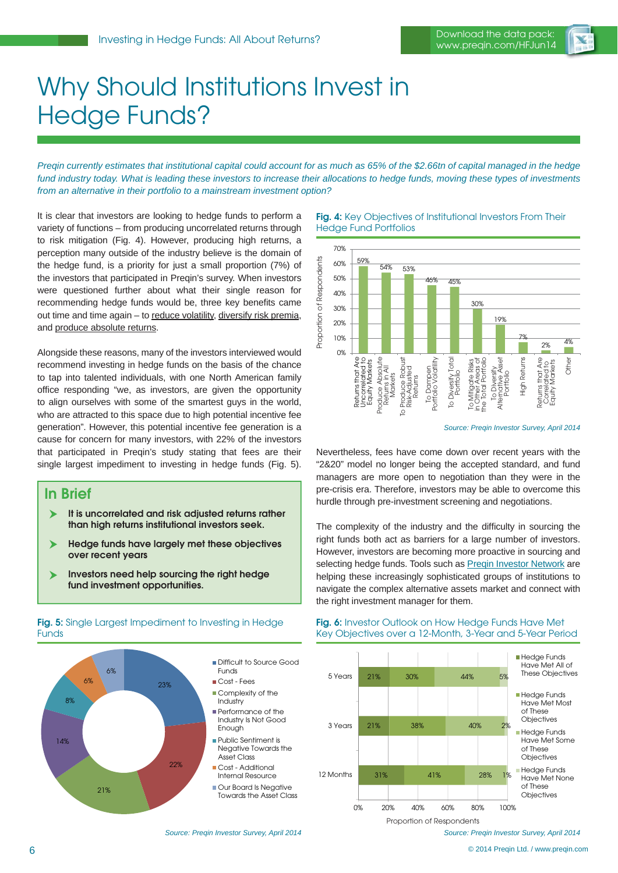

### Why Should Institutions Invest in Hedge Funds?

*Preqin currently estimates that institutional capital could account for as much as 65% of the \$2.66tn of capital managed in the hedge fund industry today. What is leading these investors to increase their allocations to hedge funds, moving these types of investments from an alternative in their portfolio to a mainstream investment option?*

It is clear that investors are looking to hedge funds to perform a variety of functions – from producing uncorrelated returns through to risk mitigation (Fig. 4). However, producing high returns, a perception many outside of the industry believe is the domain of the hedge fund, is a priority for just a small proportion (7%) of the investors that participated in Preqin's survey. When investors were questioned further about what their single reason for recommending hedge funds would be, three key benefits came out time and time again – to reduce volatility, diversify risk premia, and produce absolute returns.

Alongside these reasons, many of the investors interviewed would recommend investing in hedge funds on the basis of the chance to tap into talented individuals, with one North American family office responding "we, as investors, are given the opportunity to align ourselves with some of the smartest guys in the world, who are attracted to this space due to high potential incentive fee generation". However, this potential incentive fee generation is a cause for concern for many investors, with 22% of the investors that participated in Preqin's study stating that fees are their single largest impediment to investing in hedge funds (Fig. 5).

#### **In Brief**

**Funds** 

- **It is uncorrelated and risk adjusted returns rather than high returns institutional investors seek.**
- **Hedge funds have largely met these objectives over recent years**
- **Investors need help sourcing the right hedge fund investment opportunities.**

**Fig. 5:** Single Largest Impediment to Investing in Hedge

#### 23% 22% 21% 14% 8% 6% 6% **Difficult to Source Good** Funds Cost - Fees Complexity of the Industry **Performance of the** Industry Is Not Good Enough Public Sentiment is Negative Towards the Asset Class **Cost - Additional** Internal Resource Our Board Is Negative Towards the Asset Class

#### **Fig. 4:** Key Objectives of Institutional Investors From Their Hedge Fund Portfolios



*Source: Preqin Investor Survey, April 2014*

Nevertheless, fees have come down over recent years with the "2&20" model no longer being the accepted standard, and fund managers are more open to negotiation than they were in the pre-crisis era. Therefore, investors may be able to overcome this hurdle through pre-investment screening and negotiations.

The complexity of the industry and the difficulty in sourcing the right funds both act as barriers for a large number of investors. However, investors are becoming more proactive in sourcing and selecting hedge funds. Tools such as Pregin Investor Network are helping these increasingly sophisticated groups of institutions to navigate the complex alternative assets market and connect with  $\frac{2}{3}$ <br>  $\frac{2}{3}$ <br>  $\frac{2}{3}$ <br>  $\frac{2}{3}$ <br>  $\frac{2}{3}$ <br>  $\frac{2}{3}$ <br>  $\frac{2}{3}$ <br>  $\frac{2}{3}$ <br>  $\frac{2}{3}$ <br>  $\frac{2}{3}$ <br>  $\frac{2}{3}$ <br>  $\frac{2}{3}$ <br>  $\frac{2}{3}$ <br>  $\frac{2}{3}$ <br>  $\frac{2}{3}$ <br>  $\frac{2}{3}$ <br>  $\frac{2}{3}$ <br>  $\frac{2}{3}$ <br>  $\frac{2}{3}$ <br>  $\frac{2}{3}$ <br>

#### 31% 21% 21% 41% 38% 30% 28%  $40%$  $44%$ 1% 2% 5% 0% 20% 40% 60% 80% 100% 12 Months 3 Years 5 Years **Hedge Funds** Have Met All of These Objectives **Hedge Funds** Have Met Most of These **Objectives** Hedge Funds Have Met Some of These **Objectives Hedge Funds** Have Met None of These **Objectives** Proportion of Respondents

#### **Fig. 6:** Investor Outlook on How Hedge Funds Have Met Key Objectives over a 12-Month, 3-Year and 5-Year Period

*Source: Preqin Investor Survey, April 2014*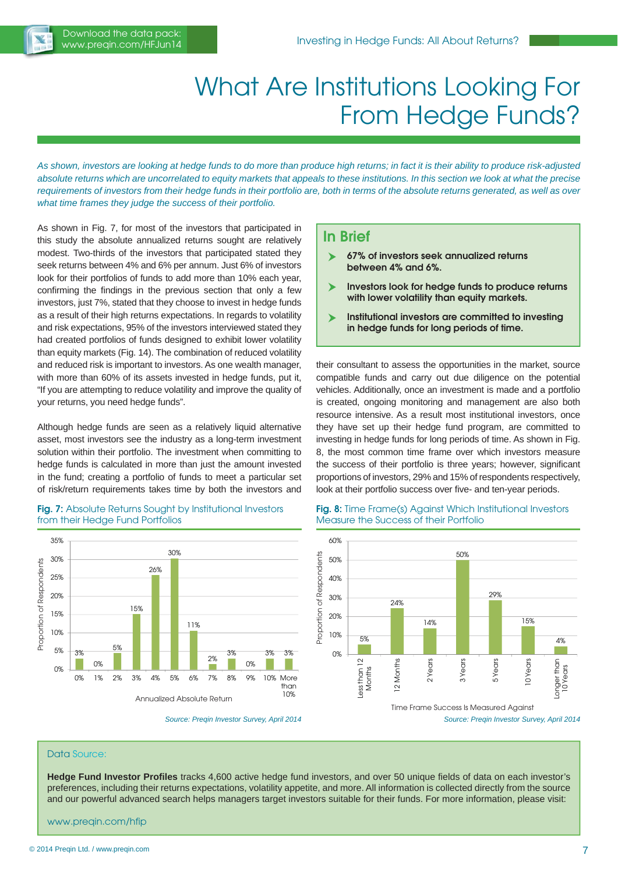

## What Are Institutions Looking For From Hedge Funds?

*As shown, investors are looking at hedge funds to do more than produce high returns; in fact it is their ability to produce risk-adjusted absolute returns which are uncorrelated to equity markets that appeals to these institutions. In this section we look at what the precise requirements of investors from their hedge funds in their portfolio are, both in terms of the absolute returns generated, as well as over what time frames they judge the success of their portfolio.*

As shown in Fig. 7, for most of the investors that participated in this study the absolute annualized returns sought are relatively modest. Two-thirds of the investors that participated stated they seek returns between 4% and 6% per annum. Just 6% of investors look for their portfolios of funds to add more than 10% each year, confirming the findings in the previous section that only a few investors, just 7%, stated that they choose to invest in hedge funds as a result of their high returns expectations. In regards to volatility and risk expectations, 95% of the investors interviewed stated they had created portfolios of funds designed to exhibit lower volatility than equity markets (Fig. 14). The combination of reduced volatility and reduced risk is important to investors. As one wealth manager, with more than 60% of its assets invested in hedge funds, put it, "If you are attempting to reduce volatility and improve the quality of your returns, you need hedge funds".

Although hedge funds are seen as a relatively liquid alternative asset, most investors see the industry as a long-term investment solution within their portfolio. The investment when committing to hedge funds is calculated in more than just the amount invested in the fund; creating a portfolio of funds to meet a particular set of risk/return requirements takes time by both the investors and

#### **Fig. 7:** Absolute Returns Sought by Institutional Investors from their Hedge Fund Portfolios



*Source: Preqin Investor Survey, April 2014*

#### **In Brief**

- **67% of investors seek annualized returns between 4% and 6%.**
- **Investors look for hedge funds to produce returns with lower volatility than equity markets.**
- **Institutional investors are committed to investing in hedge funds for long periods of time.**

their consultant to assess the opportunities in the market, source compatible funds and carry out due diligence on the potential vehicles. Additionally, once an investment is made and a portfolio is created, ongoing monitoring and management are also both resource intensive. As a result most institutional investors, once they have set up their hedge fund program, are committed to investing in hedge funds for long periods of time. As shown in Fig. 8, the most common time frame over which investors measure the success of their portfolio is three years; however, significant proportions of investors, 29% and 15% of respondents respectively, look at their portfolio success over five- and ten-year periods.



**Fig. 8:** Time Frame(s) Against Which Institutional Investors



*Source: Preqin Investor Survey, April 2014*

#### Data Source:

**Hedge Fund Investor Profi les** tracks 4,600 active hedge fund investors, and over 50 unique fields of data on each investor's preferences, including their returns expectations, volatility appetite, and more. All information is collected directly from the source and our powerful advanced search helps managers target investors suitable for their funds. For more information, please visit:

www.preqin.com/hfip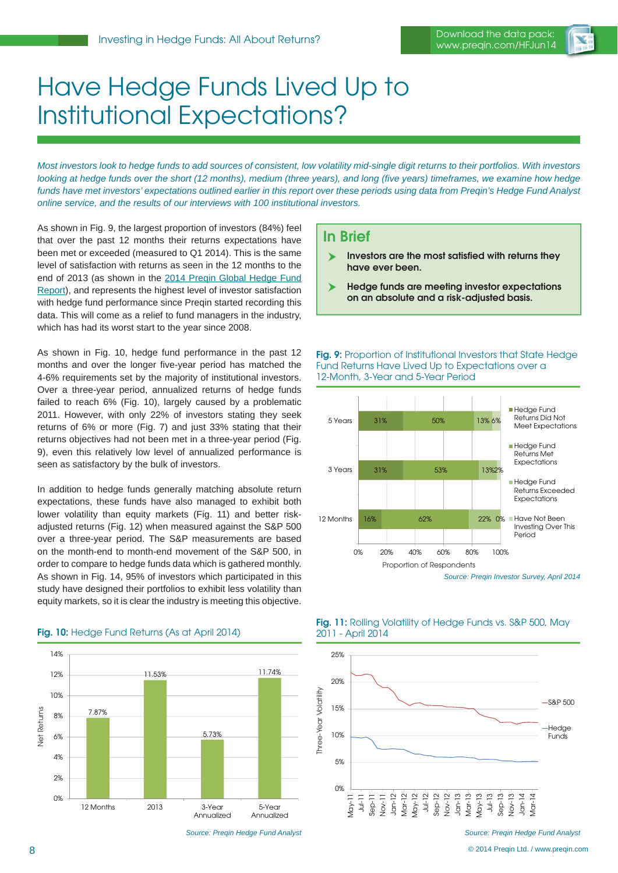

## Have Hedge Funds Lived Up to Institutional Expectations?

*Most investors look to hedge funds to add sources of consistent, low volatility mid-single digit returns to their portfolios. With investors looking at hedge funds over the short (12 months), medium (three years), and long (five years) timeframes, we examine how hedge funds have met investors' expectations outlined earlier in this report over these periods using data from Preqin's Hedge Fund Analyst online service, and the results of our interviews with 100 institutional investors.*

As shown in Fig. 9, the largest proportion of investors (84%) feel that over the past 12 months their returns expectations have been met or exceeded (measured to Q1 2014). This is the same level of satisfaction with returns as seen in the 12 months to the end of 2013 (as shown in the [2014 Preqin Global Hedge Fund](www.preqin.com/ghfr)  [Report\),](www.preqin.com/ghfr) and represents the highest level of investor satisfaction with hedge fund performance since Preqin started recording this data. This will come as a relief to fund managers in the industry, which has had its worst start to the year since 2008.

As shown in Fig. 10, hedge fund performance in the past 12 months and over the longer five-year period has matched the 4-6% requirements set by the majority of institutional investors. Over a three-year period, annualized returns of hedge funds failed to reach 6% (Fig. 10), largely caused by a problematic 2011. However, with only 22% of investors stating they seek returns of 6% or more (Fig. 7) and just 33% stating that their returns objectives had not been met in a three-year period (Fig. 9), even this relatively low level of annualized performance is seen as satisfactory by the bulk of investors.

In addition to hedge funds generally matching absolute return expectations, these funds have also managed to exhibit both lower volatility than equity markets (Fig. 11) and better riskadjusted returns (Fig. 12) when measured against the S&P 500 over a three-year period. The S&P measurements are based on the month-end to month-end movement of the S&P 500, in order to compare to hedge funds data which is gathered monthly. As shown in Fig. 14, 95% of investors which participated in this study have designed their portfolios to exhibit less volatility than equity markets, so it is clear the industry is meeting this objective.



*Source: Preqin Hedge Fund Analyst*

#### **Fig. 10:** Hedge Fund Returns (As at April 2014)

- **Investors are the most satisfied with returns they have ever been.**
- **Hedge funds are meeting investor expectations on an absolute and a risk-adjusted basis.**

**Fig. 9:** Proportion of Institutional Investors that State Hedge Fund Returns Have Lived Up to Expectations over a 12-Month, 3-Year and 5-Year Period



*Source: Preqin Investor Survey, April 2014*



#### **Fig. 11:** Rolling Volatility of Hedge Funds vs. S&P 500, May 2011 - April 2014

© 2014 Preqin Ltd. / www.preqin.com

**In Brief**

*Source: Preqin Hedge Fund Analyst*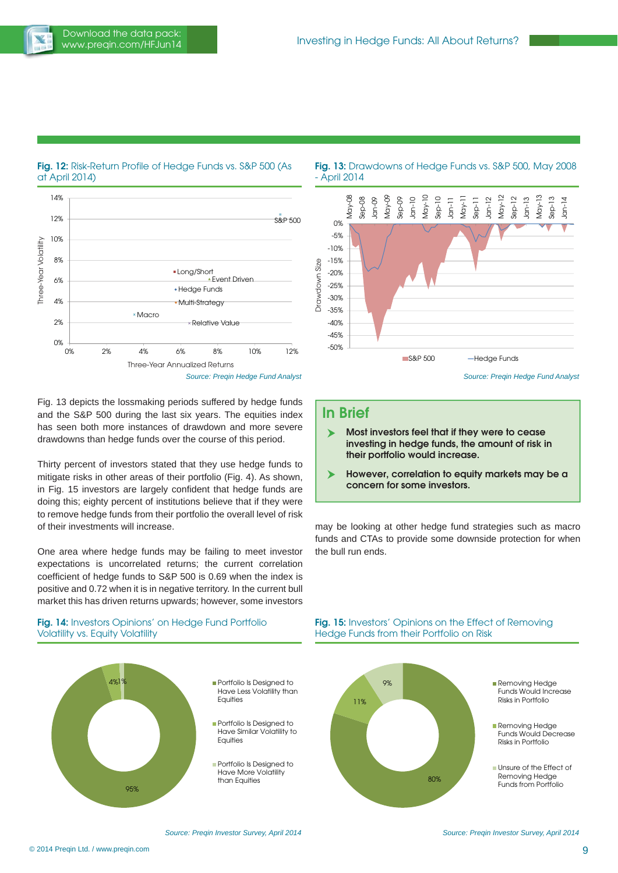

**Fig. 12:** Risk-Return Profile of Hedge Funds vs. S&P 500 (As at April 2014)



Fig. 13 depicts the lossmaking periods suffered by hedge funds and the S&P 500 during the last six years. The equities index has seen both more instances of drawdown and more severe drawdowns than hedge funds over the course of this period.

Thirty percent of investors stated that they use hedge funds to mitigate risks in other areas of their portfolio (Fig. 4). As shown, in Fig. 15 investors are largely confident that hedge funds are doing this; eighty percent of institutions believe that if they were to remove hedge funds from their portfolio the overall level of risk of their investments will increase.

One area where hedge funds may be failing to meet investor expectations is uncorrelated returns; the current correlation coefficient of hedge funds to S&P 500 is 0.69 when the index is positive and 0.72 when it is in negative territory. In the current bull market this has driven returns upwards; however, some investors

#### **Fig. 14:** Investors Opinions' on Hedge Fund Portfolio Volatility vs. Equity Volatility



#### **Fig. 13:** Drawdowns of Hedge Funds vs. S&P 500, May 2008 - April 2014



*Source: Preqin Hedge Fund Analyst*

#### **In Brief**

- **Most investors feel that if they were to cease investing in hedge funds, the amount of risk in their portfolio would increase.**
- **However, correlation to equity markets may be a concern for some investors.**

may be looking at other hedge fund strategies such as macro funds and CTAs to provide some downside protection for when the bull run ends.

#### **Fig. 15:** Investors' Opinions on the Effect of Removing Hedge Funds from their Portfolio on Risk



*Source: Preqin Investor Survey, April 2014*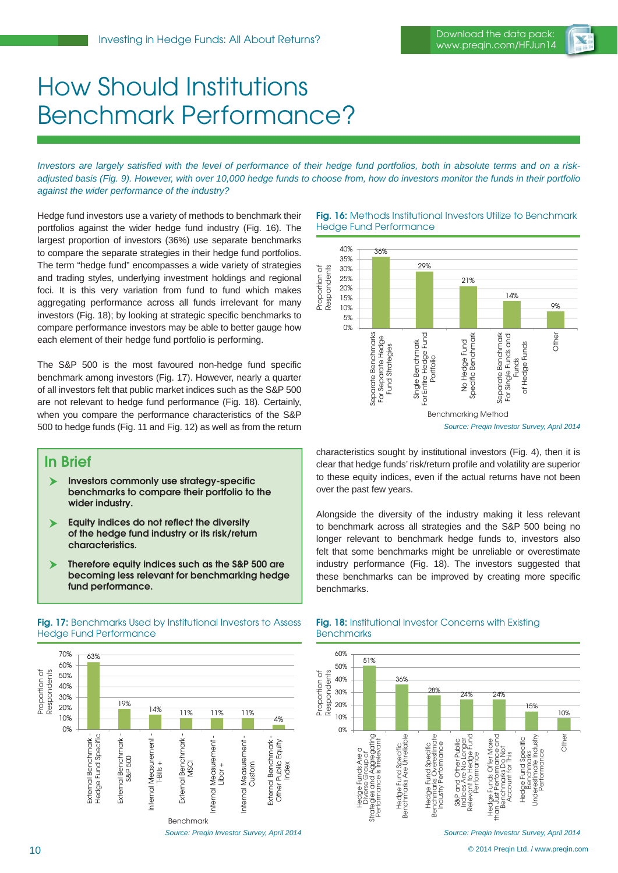

## How Should Institutions Benchmark Performance?

Investors are largely satisfied with the level of performance of their hedge fund portfolios, both in absolute terms and on a risk*adjusted basis (Fig. 9). However, with over 10,000 hedge funds to choose from, how do investors monitor the funds in their portfolio against the wider performance of the industry?* 

Hedge fund investors use a variety of methods to benchmark their portfolios against the wider hedge fund industry (Fig. 16). The largest proportion of investors (36%) use separate benchmarks to compare the separate strategies in their hedge fund portfolios. The term "hedge fund" encompasses a wide variety of strategies and trading styles, underlying investment holdings and regional foci. It is this very variation from fund to fund which makes aggregating performance across all funds irrelevant for many investors (Fig. 18); by looking at strategic specific benchmarks to compare performance investors may be able to better gauge how each element of their hedge fund portfolio is performing.

The S&P 500 is the most favoured non-hedge fund specific benchmark among investors (Fig. 17). However, nearly a quarter of all investors felt that public market indices such as the S&P 500 are not relevant to hedge fund performance (Fig. 18). Certainly, when you compare the performance characteristics of the S&P 500 to hedge funds (Fig. 11 and Fig. 12) as well as from the return

#### **In Brief**

- **Investors commonly use strategy-specific benchmarks to compare their portfolio to the wider industry.**
- **Equity indices do not reflect the diversity of the hedge fund industry or its risk/return characteristics.**
- **Therefore equity indices such as the S&P 500 are becoming less relevant for benchmarking hedge fund performance.**

#### **Fig. 17:** Benchmarks Used by Institutional Investors to Assess Hedge Fund Performance



#### **Fig. 16:** Methods Institutional Investors Utilize to Benchmark Hedge Fund Performance



characteristics sought by institutional investors (Fig. 4), then it is clear that hedge funds' risk/return profile and volatility are superior to these equity indices, even if the actual returns have not been over the past few years.

Alongside the diversity of the industry making it less relevant to benchmark across all strategies and the S&P 500 being no longer relevant to benchmark hedge funds to, investors also felt that some benchmarks might be unreliable or overestimate industry performance (Fig. 18). The investors suggested that these benchmarks can be improved by creating more specific benchmarks.



#### **Fig. 18:** Institutional Investor Concerns with Existing **Benchmarks**

*Source: Preqin Investor Survey, April 2014*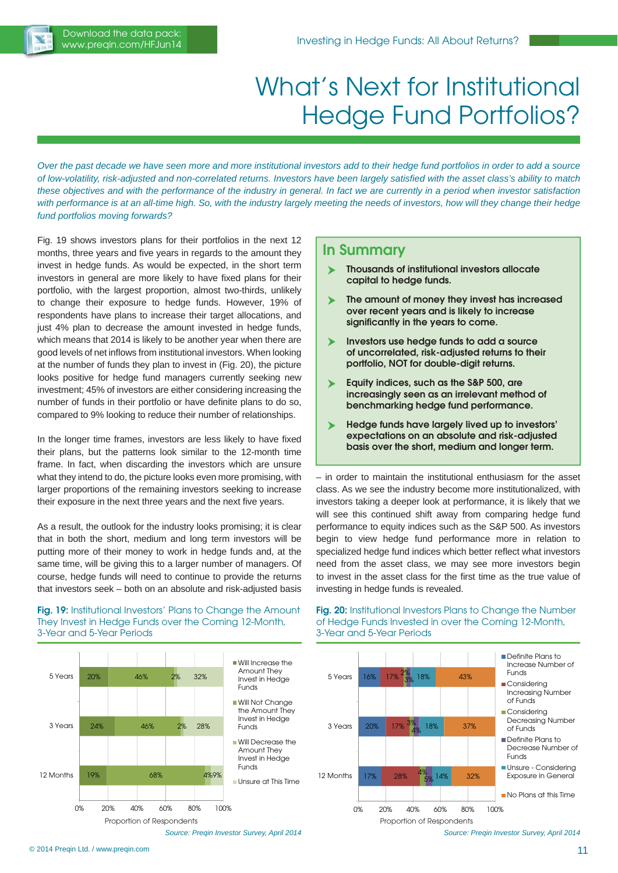## What's Next for Institutional Hedge Fund Portfolios?

*Over the past decade we have seen more and more institutional investors add to their hedge fund portfolios in order to add a source of low-volatility, risk-adjusted and non-correlated returns. Investors have been largely satisfi ed with the asset class's ability to match these objectives and with the performance of the industry in general. In fact we are currently in a period when investor satisfaction*  with performance is at an all-time high. So, with the industry largely meeting the needs of investors, how will they change their hedge *fund portfolios moving forwards?*

Fig. 19 shows investors plans for their portfolios in the next 12 months, three years and five years in regards to the amount they invest in hedge funds. As would be expected, in the short term investors in general are more likely to have fixed plans for their portfolio, with the largest proportion, almost two-thirds, unlikely to change their exposure to hedge funds. However, 19% of respondents have plans to increase their target allocations, and just 4% plan to decrease the amount invested in hedge funds, which means that 2014 is likely to be another year when there are good levels of net inflows from institutional investors. When looking at the number of funds they plan to invest in (Fig. 20), the picture looks positive for hedge fund managers currently seeking new investment; 45% of investors are either considering increasing the number of funds in their portfolio or have definite plans to do so, compared to 9% looking to reduce their number of relationships.

In the longer time frames, investors are less likely to have fixed their plans, but the patterns look similar to the 12-month time frame. In fact, when discarding the investors which are unsure what they intend to do, the picture looks even more promising, with larger proportions of the remaining investors seeking to increase their exposure in the next three years and the next five years.

As a result, the outlook for the industry looks promising; it is clear that in both the short, medium and long term investors will be putting more of their money to work in hedge funds and, at the same time, will be giving this to a larger number of managers. Of course, hedge funds will need to continue to provide the returns that investors seek – both on an absolute and risk-adjusted basis

**Fig. 19:** Institutional Investors' Plans to Change the Amount They Invest in Hedge Funds over the Coming 12-Month,

#### **In Summary**

- **Thousands of institutional investors allocate capital to hedge funds.**
- **The amount of money they invest has increased over recent years and is likely to increase significantly in the years to come.**
- **Investors use hedge funds to add a source of uncorrelated, risk-adjusted returns to their portfolio, NOT for double-digit returns.**
- **Equity indices, such as the S&P 500, are increasingly seen as an irrelevant method of benchmarking hedge fund performance.**
- **Hedge funds have largely lived up to investors' expectations on an absolute and risk-adjusted basis over the short, medium and longer term.**

– in order to maintain the institutional enthusiasm for the asset class. As we see the industry become more institutionalized, with investors taking a deeper look at performance, it is likely that we will see this continued shift away from comparing hedge fund performance to equity indices such as the S&P 500. As investors begin to view hedge fund performance more in relation to specialized hedge fund indices which better reflect what investors need from the asset class, we may see more investors begin to invest in the asset class for the first time as the true value of investing in hedge funds is revealed.



*Source: Preqin Investor Survey, April 2014*

**Fig. 20:** Institutional Investors Plans to Change the Number of Hedge Funds Invested in over the Coming 12-Month, 3-Year and 5-Year Periods



3-Year and 5-Year Periods